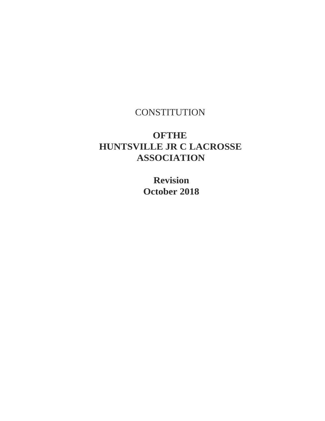## **CONSTITUTION**

## **OFTHE HUNTSVILLE JR C LACROSSE ASSOCIATION**

**Revision October 2018**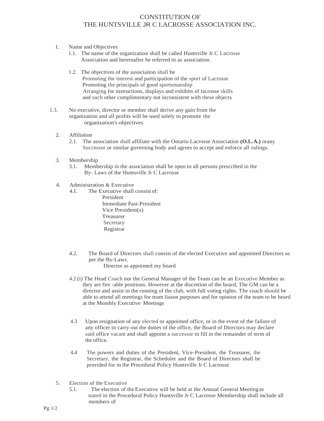## CONSTITUTION OF THE HUNTSVILLE JR C LACROSSE ASSOCIATION INC.

- 1. Name and Objectives
	- 1.1. The name of the organization shall be called Huntsville Jr C Lacrosse Association and hereinafter be referred to as association.
	- 1.2. The objectives of the associaiton shall be Promoting the interest and participation of the sport of Lacrosse Promoting the principals of good sportsmanship Arranging for instructions, displays and exhibits of lacrosse skills and such other complimentary not inconsistent with these objects
- 1.3. No executive, director or member shall derive any gain from the organization and all profits will be used solely to promote the organization's objectives
	- 2. Affiliation
		- 2.1. The association shall affiliate with the Ontario Lacrosse Association **(O.L.A.)** orany Successor or similar governing body and agrees to accept and enforce all rulings.
	- 3. Membership
		- 3.1. Membership in the association shall be open to all persons prescribed in the By- Laws of the Huntsville Jr C Lacrosse
	- 4. Administration & Executive
		- 4.I. The Executive shall consist of: President Immediate Past-President Vice President(s) Treasurer Secretary Registrar
		- 4.2. The Board of Directors shall consist of the elected Executive and appointed Directors as per the By-Laws. Director as appointed my board
		- 4.2 (i) The Head Coach nor the General Manager of the Team can be an Executive Member as they are fire -able positions. However at the discretion of the board, The GM can be a director and assist in the running of the club, with full voting rights. The coach should be able to attend all meetings for team liason purposes and for opinion of the team to be heard at the Monthly Executive Meetings
		- 4.3 Upon resignation of any elected or appointed office, or in the event of the failure of any officer to carry out the duties of the office, the Board of Directors may declare said office vacant and shall appoint a successor to fill in the remainder of term of the office.
		- 4.4 The powers and duties of the President, Vice-President, the Treasurer, the Secretary, the Registrar, the Scheduler and the Board of Directors shall be provided for in the Procedural Policy Huntsville Jr C Lacrosse.
	- 5. Election of the Executive
		- 5.1. The election of the Executive will be held at the Annual General Meetingas stated in the Procedural Policy Huntsville Jr C Lacrosse Membership shall include all members of